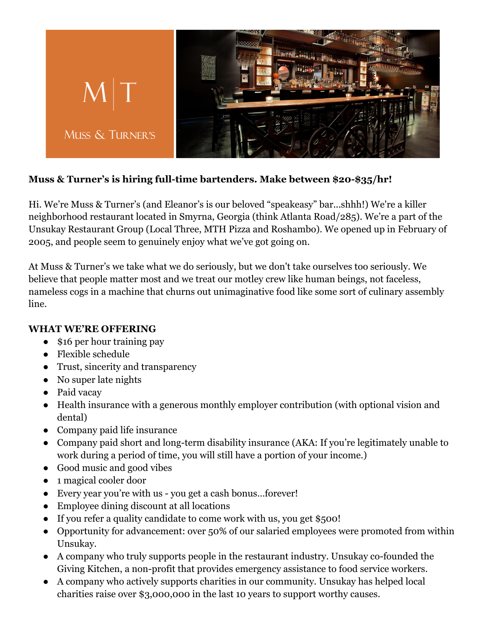

## **Muss & Turner's is hiring full-time bartenders. Make between \$20-\$35/hr!**

Hi. We're Muss & Turner's (and Eleanor's is our beloved "speakeasy" bar...shhh!) We're a killer neighborhood restaurant located in Smyrna, Georgia (think Atlanta Road/285). We're a part of the Unsukay Restaurant Group (Local Three, MTH Pizza and Roshambo). We opened up in February of 2005, and people seem to genuinely enjoy what we've got going on.

At Muss & Turner's we take what we do seriously, but we don't take ourselves too seriously. We believe that people matter most and we treat our motley crew like human beings, not faceless, nameless cogs in a machine that churns out unimaginative food like some sort of culinary assembly line.

## **WHAT WE'RE OFFERING**

- \$16 per hour training pay
- Flexible schedule
- Trust, sincerity and transparency
- No super late nights
- Paid vacay
- Health insurance with a generous monthly employer contribution (with optional vision and dental)
- Company paid life insurance
- Company paid short and long-term disability insurance (AKA: If you're legitimately unable to work during a period of time, you will still have a portion of your income.)
- Good music and good vibes
- 1 magical cooler door
- Every year you're with us you get a cash bonus…forever!
- Employee dining discount at all locations
- If you refer a quality candidate to come work with us, you get \$500!
- Opportunity for advancement: over 50% of our salaried employees were promoted from within Unsukay.
- A company who truly supports people in the restaurant industry. Unsukay co-founded the Giving Kitchen, a non-profit that provides emergency assistance to food service workers.
- A company who actively supports charities in our community. Unsukay has helped local charities raise over \$3,000,000 in the last 10 years to support worthy causes.